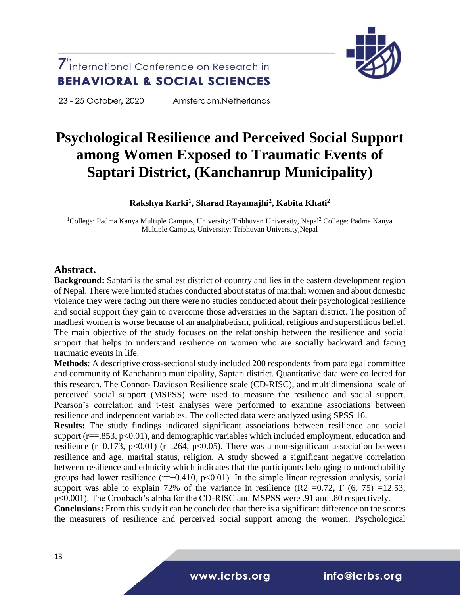23 - 25 October, 2020

Amsterdam, Netherlands

# **Psychological Resilience and Perceived Social Support among Women Exposed to Traumatic Events of Saptari District, (Kanchanrup Municipality)**

### **Rakshya Karki<sup>1</sup> , Sharad Rayamajhi<sup>2</sup> , Kabita Khati<sup>2</sup>**

<sup>1</sup>College: Padma Kanya Multiple Campus, University: Tribhuvan University, Nepal<sup>2</sup> College: Padma Kanya Multiple Campus, University: Tribhuvan University,Nepal

### **Abstract.**

**Background:** Saptari is the smallest district of country and lies in the eastern development region of Nepal. There were limited studies conducted about status of maithali women and about domestic violence they were facing but there were no studies conducted about their psychological resilience and social support they gain to overcome those adversities in the Saptari district. The position of madhesi women is worse because of an analphabetism, political, religious and superstitious belief. The main objective of the study focuses on the relationship between the resilience and social support that helps to understand resilience on women who are socially backward and facing traumatic events in life.

**Methods**: A descriptive cross-sectional study included 200 respondents from paralegal committee and community of Kanchanrup municipality, Saptari district. Quantitative data were collected for this research. The Connor- Davidson Resilience scale (CD-RISC), and multidimensional scale of perceived social support (MSPSS) were used to measure the resilience and social support. Pearson's correlation and t-test analyses were performed to examine associations between resilience and independent variables. The collected data were analyzed using SPSS 16.

**Results:** The study findings indicated significant associations between resilience and social support ( $r = 0.853$ ,  $p < 0.01$ ), and demographic variables which included employment, education and resilience (r=0.173, p<0.01) (r=.264, p<0.05). There was a non-significant association between resilience and age, marital status, religion. A study showed a significant negative correlation between resilience and ethnicity which indicates that the participants belonging to untouchability groups had lower resilience ( $r=-0.410$ ,  $p<0.01$ ). In the simple linear regression analysis, social support was able to explain 72% of the variance in resilience (R2 =0.72, F  $(6, 75)$  =12.53, p<0.001). The Cronbach's alpha for the CD-RISC and MSPSS were .91 and .80 respectively.

**Conclusions:** From this study it can be concluded that there is a significant difference on the scores the measurers of resilience and perceived social support among the women. Psychological



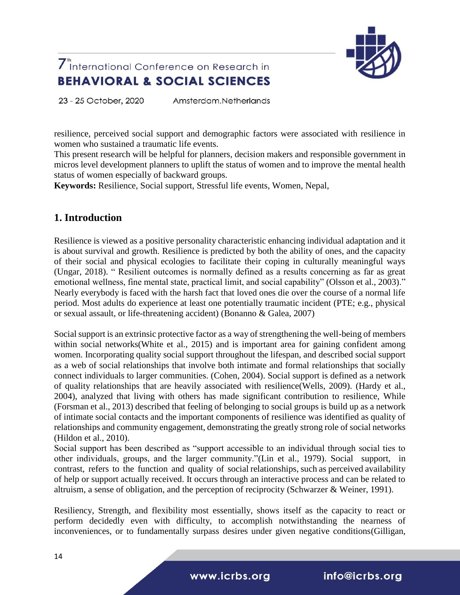

23 - 25 October, 2020 Amsterdam.Netherlands

resilience, perceived social support and demographic factors were associated with resilience in women who sustained a traumatic life events.

This present research will be helpful for planners, decision makers and responsible government in micros level development planners to uplift the status of women and to improve the mental health status of women especially of backward groups.

**Keywords:** Resilience, Social support, Stressful life events, Women, Nepal,

### **1. Introduction**

Resilience is viewed as a positive personality characteristic enhancing individual adaptation and it is about survival and growth. Resilience is predicted by both the ability of ones, and the capacity of their social and physical ecologies to facilitate their coping in culturally meaningful ways (Ungar, 2018). " Resilient outcomes is normally defined as a results concerning as far as great emotional wellness, fine mental state, practical limit, and social capability" (Olsson et al., 2003)." Nearly everybody is faced with the harsh fact that loved ones die over the course of a normal life period. Most adults do experience at least one potentially traumatic incident (PTE; e.g., physical or sexual assault, or life-threatening accident) (Bonanno & Galea, 2007)

Social support is an extrinsic protective factor as a way of strengthening the well-being of members within social networks(White et al., 2015) and is important area for gaining confident among women. Incorporating quality social support throughout the lifespan, and described social support as a web of social relationships that involve both intimate and formal relationships that socially connect individuals to larger communities. (Cohen, 2004). Social support is defined as a network of quality relationships that are heavily associated with resilience(Wells, 2009). (Hardy et al., 2004), analyzed that living with others has made significant contribution to resilience, While (Forsman et al., 2013) described that feeling of belonging to social groups is build up as a network of intimate social contacts and the important components of resilience was identified as quality of relationships and community engagement, demonstrating the greatly strong role of social networks (Hildon et al., 2010).

Social support has been described as "support accessible to an individual through social ties to other individuals, groups, and the larger community."(Lin et al., 1979). Social support, in contrast, refers to the function and quality of social relationships, such as perceived availability of help or support actually received. It occurs through an interactive process and can be related to altruism, a sense of obligation, and the perception of reciprocity (Schwarzer & Weiner, 1991).

Resiliency, Strength, and flexibility most essentially, shows itself as the capacity to react or perform decidedly even with difficulty, to accomplish notwithstanding the nearness of inconveniences, or to fundamentally surpass desires under given negative conditions(Gilligan,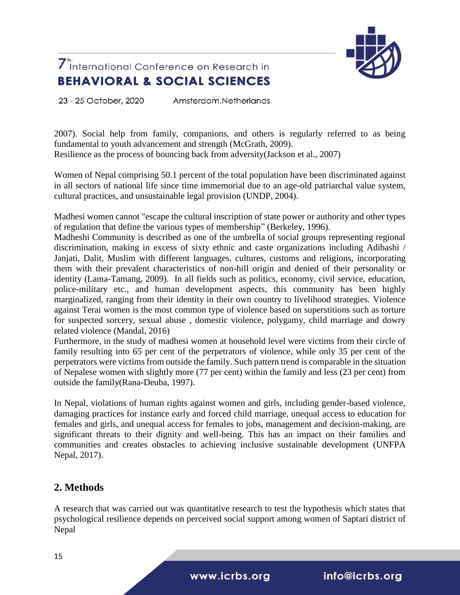

23 - 25 October, 2020 Amsterdam.Netherlands

2007). Social help from family, companions, and others is regularly referred to as being fundamental to youth advancement and strength (McGrath, 2009).

Resilience as the process of bouncing back from adversity(Jackson et al., 2007)

Women of Nepal comprising 50.1 percent of the total population have been discriminated against in all sectors of national life since time immemorial due to an age-old patriarchal value system, cultural practices, and unsustainable legal provision (UNDP, 2004).

Madhesi women cannot "escape the cultural inscription of state power or authority and other types of regulation that define the various types of membership" (Berkeley, 1996).

Madheshi Community is described as one of the umbrella of social groups representing regional discrimination, making in excess of sixty ethnic and caste organizations including Adibashi / Janjati, Dalit, Muslim with different languages, cultures, customs and religions, incorporating them with their prevalent characteristics of non-hill origin and denied of their personality or identity (Lama-Tamang, 2009). In all fields such as politics, economy, civil service, education, police-military etc., and human development aspects, this community has been highly marginalized, ranging from their identity in their own country to livelihood strategies. Violence against Terai women is the most common type of violence based on superstitions such as torture for suspected sorcery, sexual abuse , domestic violence, polygamy, child marriage and dowry related violence (Mandal, 2016)

Furthermore, in the study of madhesi women at household level were victims from their circle of family resulting into 65 per cent of the perpetrators of violence, while only 35 per cent of the perpetrators were victims from outside the family. Such pattern trend is comparable in the situation of Nepalese women with slightly more (77 per cent) within the family and less (23 per cent) from outside the family(Rana-Deuba, 1997).

In Nepal, violations of human rights against women and girls, including gender-based violence, damaging practices for instance early and forced child marriage, unequal access to education for females and girls, and unequal access for females to jobs, management and decision-making, are significant threats to their dignity and well-being. This has an impact on their families and communities and creates obstacles to achieving inclusive sustainable development (UNFPA Nepal, 2017).

### **2. Methods**

A research that was carried out was quantitative research to test the hypothesis which states that psychological resilience depends on perceived social support among women of Saptari district of Nepal

www.icrbs.org

info@icrbs.org

15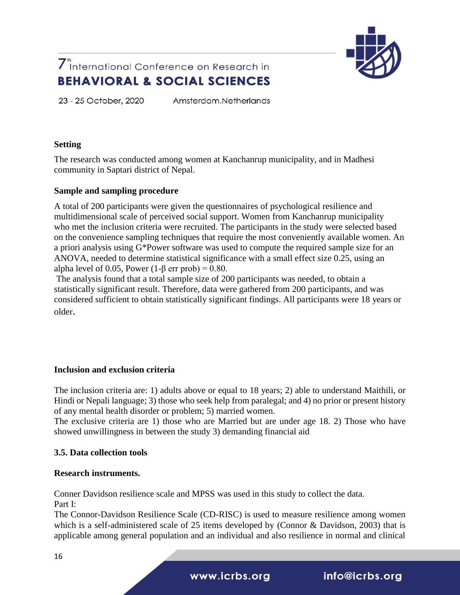

23 - 25 October, 2020

Amsterdam.Netherlands

#### **Setting**

The research was conducted among women at Kanchanrup municipality, and in Madhesi community in Saptari district of Nepal.

### **Sample and sampling procedure**

A total of 200 participants were given the questionnaires of psychological resilience and multidimensional scale of perceived social support. Women from Kanchanrup municipality who met the inclusion criteria were recruited. The participants in the study were selected based on the convenience sampling techniques that require the most conveniently available women. An a priori analysis using G\*Power software was used to compute the required sample size for an ANOVA, needed to determine statistical significance with a small effect size 0.25, using an alpha level of 0.05, Power  $(1-\beta \text{ err prob}) = 0.80$ .

The analysis found that a total sample size of 200 participants was needed, to obtain a statistically significant result. Therefore, data were gathered from 200 participants, and was considered sufficient to obtain statistically significant findings. All participants were 18 years or older.

### **Inclusion and exclusion criteria**

The inclusion criteria are: 1) adults above or equal to 18 years; 2) able to understand Maithili, or Hindi or Nepali language; 3) those who seek help from paralegal; and 4) no prior or present history of any mental health disorder or problem; 5) married women.

The exclusive criteria are 1) those who are Married but are under age 18. 2) Those who have showed unwillingness in between the study 3) demanding financial aid

### **3.5. Data collection tools**

### **Research instruments.**

Conner Davidson resilience scale and MPSS was used in this study to collect the data. Part I:

The Connor-Davidson Resilience Scale (CD-RISC) is used to measure resilience among women which is a self-administered scale of 25 items developed by (Connor & Davidson, 2003) that is applicable among general population and an individual and also resilience in normal and clinical

www.icrbs.org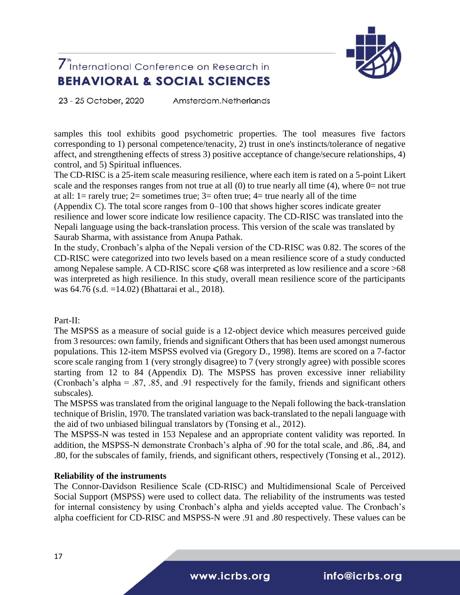

23 - 25 October, 2020 Amsterdam.Netherlands

samples this tool exhibits good psychometric properties. The tool measures five factors corresponding to 1) personal competence/tenacity, 2) trust in one's instincts/tolerance of negative affect, and strengthening effects of stress 3) positive acceptance of change/secure relationships, 4) control, and 5) Spiritual influences.

The CD-RISC is a 25-item scale measuring resilience, where each item is rated on a 5-point Likert scale and the responses ranges from not true at all  $(0)$  to true nearly all time  $(4)$ , where  $0=$  not true at all: 1 = rarely true; 2 = sometimes true; 3 = often true; 4 = true nearly all of the time

(Appendix C). The total score ranges from 0–100 that shows higher scores indicate greater resilience and lower score indicate low resilience capacity. The CD-RISC was translated into the Nepali language using the back-translation process. This version of the scale was translated by Saurab Sharma, with assistance from Anupa Pathak.

In the study, Cronbach's alpha of the Nepali version of the CD-RISC was 0.82. The scores of the CD-RISC were categorized into two levels based on a mean resilience score of a study conducted among Nepalese sample. A CD-RISC score  $\leq 68$  was interpreted as low resilience and a score >68 was interpreted as high resilience. In this study, overall mean resilience score of the participants was 64.76 (s.d. =14.02) (Bhattarai et al., 2018).

Part-II:

The MSPSS as a measure of social guide is a 12-object device which measures perceived guide from 3 resources: own family, friends and significant Others that has been used amongst numerous populations. This 12-item MSPSS evolved via (Gregory D., 1998). Items are scored on a 7-factor score scale ranging from 1 (very strongly disagree) to 7 (very strongly agree) with possible scores starting from 12 to 84 (Appendix D). The MSPSS has proven excessive inner reliability (Cronbach's alpha = .87, .85, and .91 respectively for the family, friends and significant others subscales).

The MSPSS was translated from the original language to the Nepali following the back-translation technique of Brislin, 1970. The translated variation was back-translated to the nepali language with the aid of two unbiased bilingual translators by (Tonsing et al., 2012).

The MSPSS-N was tested in 153 Nepalese and an appropriate content validity was reported. In addition, the MSPSS-N demonstrate Cronbach's alpha of .90 for the total scale, and .86, .84, and .80, for the subscales of family, friends, and significant others, respectively (Tonsing et al., 2012).

#### **Reliability of the instruments**

The Connor-Davidson Resilience Scale (CD-RISC) and Multidimensional Scale of Perceived Social Support (MSPSS) were used to collect data. The reliability of the instruments was tested for internal consistency by using Cronbach's alpha and yields accepted value. The Cronbach's alpha coefficient for CD-RISC and MSPSS-N were .91 and .80 respectively. These values can be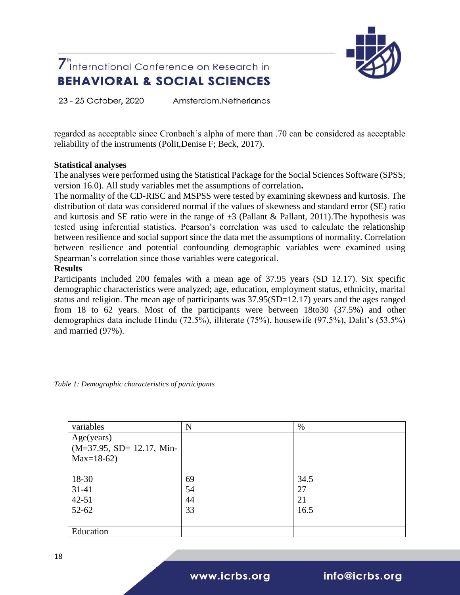

23 - 25 October, 2020 Amsterdam.Netherlands

regarded as acceptable since Cronbach's alpha of more than .70 can be considered as acceptable reliability of the instruments (Polit,Denise F; Beck, 2017).

#### **Statistical analyses**

The analyses were performed using the Statistical Package for the Social Sciences Software (SPSS; version 16.0). All study variables met the assumptions of correlation**.**

The normality of the CD-RISC and MSPSS were tested by examining skewness and kurtosis. The distribution of data was considered normal if the values of skewness and standard error (SE) ratio and kurtosis and SE ratio were in the range of  $\pm 3$  (Pallant & Pallant, 2011). The hypothesis was tested using inferential statistics. Pearson's correlation was used to calculate the relationship between resilience and social support since the data met the assumptions of normality. Correlation between resilience and potential confounding demographic variables were examined using Spearman's correlation since those variables were categorical.

#### **Results**

Participants included 200 females with a mean age of 37.95 years (SD 12.17). Six specific demographic characteristics were analyzed; age, education, employment status, ethnicity, marital status and religion. The mean age of participants was 37.95(SD=12.17) years and the ages ranged from 18 to 62 years. Most of the participants were between 18to30 (37.5%) and other demographics data include Hindu (72.5%), illiterate (75%), housewife (97.5%), Dalit's (53.5%) and married (97%).

*Table 1: Demographic characteristics of participants*

| variables                  | N  | %    |
|----------------------------|----|------|
| Age(years)                 |    |      |
| $(M=37.95, SD=12.17, Min-$ |    |      |
| $Max=18-62$                |    |      |
|                            |    |      |
| 18-30                      | 69 | 34.5 |
| $31 - 41$                  | 54 | 27   |
| $42 - 51$                  | 44 | 21   |
| 52-62                      | 33 | 16.5 |
|                            |    |      |
| Education                  |    |      |

www.icrbs.org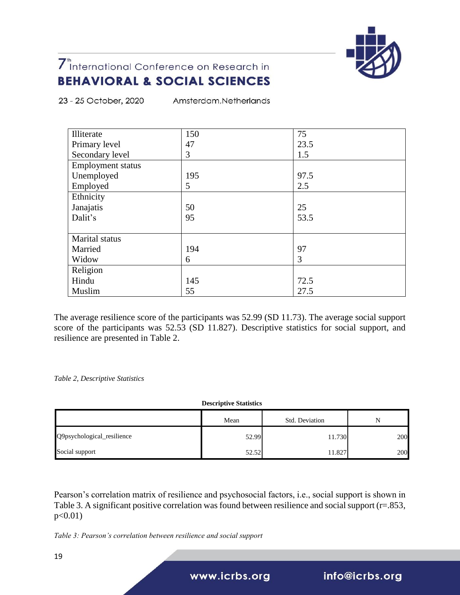

23 - 25 October, 2020 Amsterdam, Netherlands

| Illiterate        | 150 | 75   |  |
|-------------------|-----|------|--|
| Primary level     | 47  | 23.5 |  |
| Secondary level   | 3   | 1.5  |  |
| Employment status |     |      |  |
| Unemployed        | 195 | 97.5 |  |
| Employed          | 5   | 2.5  |  |
| Ethnicity         |     |      |  |
| Janajatis         | 50  | 25   |  |
| Dalit's           | 95  | 53.5 |  |
|                   |     |      |  |
| Marital status    |     |      |  |
| Married           | 194 | 97   |  |
| Widow             | 6   | 3    |  |
| Religion          |     |      |  |
| Hindu             | 145 | 72.5 |  |
| Muslim            | 55  | 27.5 |  |

The average resilience score of the participants was 52.99 (SD 11.73). The average social support score of the participants was 52.53 (SD 11.827). Descriptive statistics for social support, and resilience are presented in Table 2.

*Table 2, Descriptive Statistics*

**Descriptive Statistics**

|                            | Mean  | Std. Deviation | N   |
|----------------------------|-------|----------------|-----|
| Q9psychological_resilience | 52.99 | 11.730         | 200 |
| Social support             | 52.52 | 11.827         | 200 |

Pearson's correlation matrix of resilience and psychosocial factors, i.e., social support is shown in Table 3. A significant positive correlation was found between resilience and social support (r=.853,  $p<0.01$ )

*Table 3: Pearson's correlation between resilience and social support*

www.icrbs.org

info@icrbs.org

19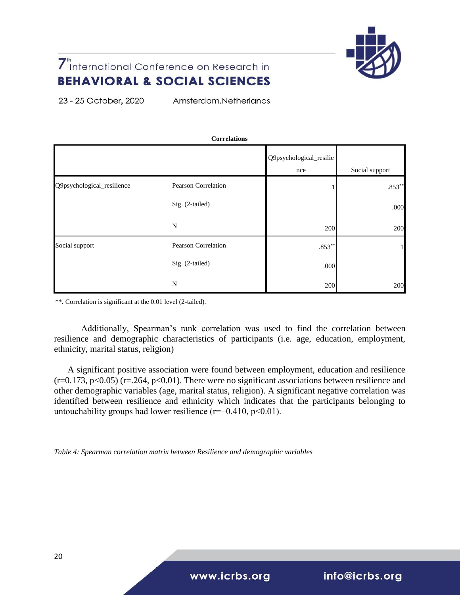

23 - 25 October, 2020 Amsterdam, Netherlands

| <b>Correlations</b>        |                     |                                |                |  |
|----------------------------|---------------------|--------------------------------|----------------|--|
|                            |                     | Q9psychological_resilie<br>nce | Social support |  |
| Q9psychological_resilience | Pearson Correlation |                                | $.853**$       |  |
|                            | Sig. (2-tailed)     |                                | .000           |  |
|                            | N                   | 200                            | 200            |  |
| Social support             | Pearson Correlation | $.853**$                       | 1              |  |
|                            | Sig. (2-tailed)     | .000                           |                |  |
|                            | N                   | 200                            | 200            |  |

\*\*. Correlation is significant at the 0.01 level (2-tailed).

Additionally, Spearman's rank correlation was used to find the correlation between resilience and demographic characteristics of participants (i.e. age, education, employment, ethnicity, marital status, religion)

A significant positive association were found between employment, education and resilience  $(r=0.173, p<0.05)$  (r=.264, p<0.01). There were no significant associations between resilience and other demographic variables (age, marital status, religion). A significant negative correlation was identified between resilience and ethnicity which indicates that the participants belonging to untouchability groups had lower resilience ( $r=-0.410$ ,  $p<0.01$ ).

*Table 4: Spearman correlation matrix between Resilience and demographic variables*

www.icrbs.org

info@icrbs.org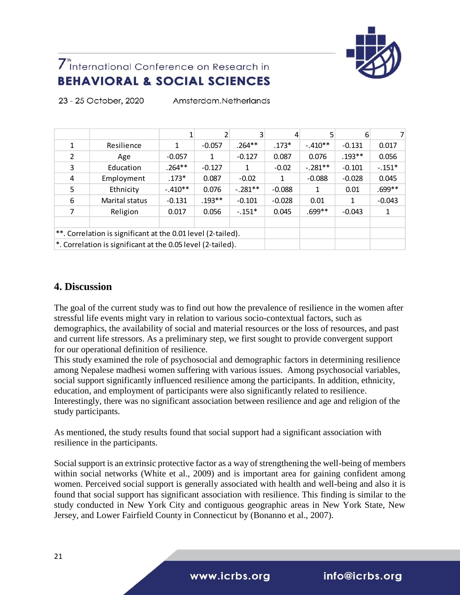

|                                                              |                                                             |           |          | 3         | 4        | 5         | 6        | 7        |
|--------------------------------------------------------------|-------------------------------------------------------------|-----------|----------|-----------|----------|-----------|----------|----------|
| 1                                                            | Resilience                                                  | 1         | $-0.057$ | $.264**$  | $.173*$  | $-.410**$ | $-0.131$ | 0.017    |
| $\mathcal{P}$                                                | Age                                                         | $-0.057$  | 1        | $-0.127$  | 0.087    | 0.076     | $.193**$ | 0.056    |
| 3                                                            | Education                                                   | $.264***$ | $-0.127$ | 1         | $-0.02$  | $-.281**$ | $-0.101$ | $-.151*$ |
| 4                                                            | Employment                                                  | $.173*$   | 0.087    | $-0.02$   | 1        | $-0.088$  | $-0.028$ | 0.045    |
| 5                                                            | Ethnicity                                                   | $-.410**$ | 0.076    | $-.281**$ | $-0.088$ | 1         | 0.01     | .699**   |
| 6                                                            | Marital status                                              | $-0.131$  | $.193**$ | $-0.101$  | $-0.028$ | 0.01      | 1        | $-0.043$ |
| 7                                                            | Religion                                                    | 0.017     | 0.056    | $-.151*$  | 0.045    | .699**    | $-0.043$ | 1        |
|                                                              |                                                             |           |          |           |          |           |          |          |
| **. Correlation is significant at the 0.01 level (2-tailed). |                                                             |           |          |           |          |           |          |          |
|                                                              | *. Correlation is significant at the 0.05 level (2-tailed). |           |          |           |          |           |          |          |

23 - 25 October, 2020 Amsterdam.Netherlands

### **4. Discussion**

The goal of the current study was to find out how the prevalence of resilience in the women after stressful life events might vary in relation to various socio-contextual factors, such as demographics, the availability of social and material resources or the loss of resources, and past and current life stressors. As a preliminary step, we first sought to provide convergent support for our operational definition of resilience.

This study examined the role of psychosocial and demographic factors in determining resilience among Nepalese madhesi women suffering with various issues. Among psychosocial variables, social support significantly influenced resilience among the participants. In addition, ethnicity, education, and employment of participants were also significantly related to resilience. Interestingly, there was no significant association between resilience and age and religion of the study participants.

As mentioned, the study results found that social support had a significant association with resilience in the participants.

Social support is an extrinsic protective factor as a way of strengthening the well-being of members within social networks (White et al., 2009) and is important area for gaining confident among women. Perceived social support is generally associated with health and well-being and also it is found that social support has significant association with resilience. This finding is similar to the study conducted in New York City and contiguous geographic areas in New York State, New Jersey, and Lower Fairfield County in Connecticut by (Bonanno et al., 2007).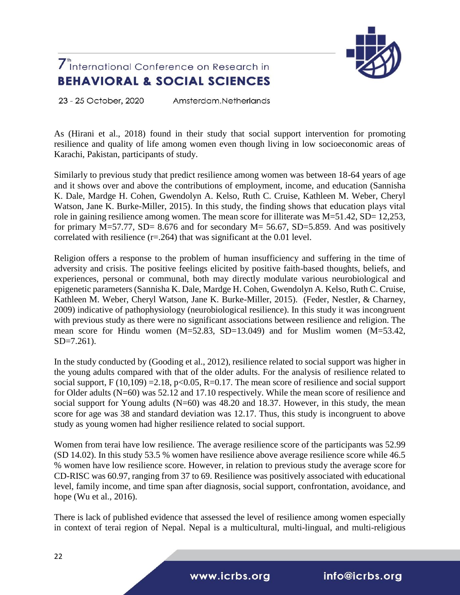

23 - 25 October, 2020 Amsterdam.Netherlands

As (Hirani et al., 2018) found in their study that social support intervention for promoting resilience and quality of life among women even though living in low socioeconomic areas of Karachi, Pakistan, participants of study.

Similarly to previous study that predict resilience among women was between 18-64 years of age and it shows over and above the contributions of employment, income, and education (Sannisha K. Dale, Mardge H. Cohen, Gwendolyn A. Kelso, Ruth C. Cruise, Kathleen M. Weber, Cheryl Watson, Jane K. Burke-Miller, 2015). In this study, the finding shows that education plays vital role in gaining resilience among women. The mean score for illiterate was  $M=51.42$ ,  $SD= 12,253$ , for primary  $M=57.77$ , SD= 8.676 and for secondary  $M=56.67$ , SD=5.859. And was positively correlated with resilience  $(r=.264)$  that was significant at the 0.01 level.

Religion offers a response to the problem of human insufficiency and suffering in the time of adversity and crisis. The positive feelings elicited by positive faith-based thoughts, beliefs, and experiences, personal or communal, both may directly modulate various neurobiological and epigenetic parameters (Sannisha K. Dale, Mardge H. Cohen, Gwendolyn A. Kelso, Ruth C. Cruise, Kathleen M. Weber, Cheryl Watson, Jane K. Burke-Miller, 2015). (Feder, Nestler, & Charney, 2009) indicative of pathophysiology (neurobiological resilience). In this study it was incongruent with previous study as there were no significant associations between resilience and religion. The mean score for Hindu women (M=52.83, SD=13.049) and for Muslim women (M=53.42, SD=7.261).

In the study conducted by (Gooding et al., 2012), resilience related to social support was higher in the young adults compared with that of the older adults. For the analysis of resilience related to social support,  $F(10,109) = 2.18$ ,  $p < 0.05$ ,  $R = 0.17$ . The mean score of resilience and social support for Older adults (N=60) was 52.12 and 17.10 respectively. While the mean score of resilience and social support for Young adults  $(N=60)$  was 48.20 and 18.37. However, in this study, the mean score for age was 38 and standard deviation was 12.17. Thus, this study is incongruent to above study as young women had higher resilience related to social support.

Women from terai have low resilience. The average resilience score of the participants was 52.99 (SD 14.02). In this study 53.5 % women have resilience above average resilience score while 46.5 % women have low resilience score. However, in relation to previous study the average score for CD-RISC was 60.97, ranging from 37 to 69. Resilience was positively associated with educational level, family income, and time span after diagnosis, social support, confrontation, avoidance, and hope (Wu et al., 2016).

There is lack of published evidence that assessed the level of resilience among women especially in context of terai region of Nepal. Nepal is a multicultural, multi-lingual, and multi-religious

www.icrbs.org

info@icrbs.org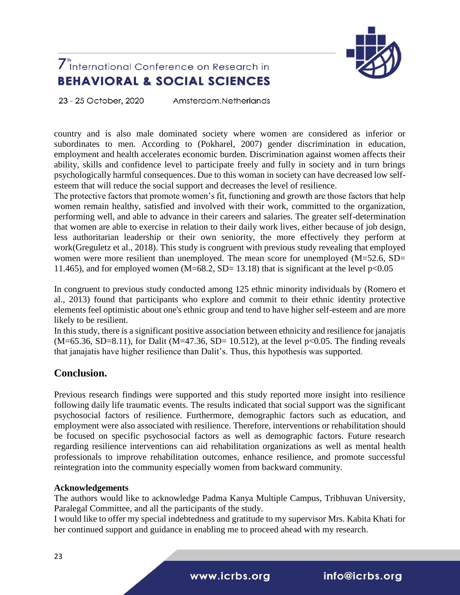

23 - 25 October, 2020 Amsterdam.Netherlands

country and is also male dominated society where women are considered as inferior or subordinates to men. According to (Pokharel, 2007) gender discrimination in education, employment and health accelerates economic burden. Discrimination against women affects their ability, skills and confidence level to participate freely and fully in society and in turn brings psychologically harmful consequences. Due to this woman in society can have decreased low selfesteem that will reduce the social support and decreases the level of resilience.

The protective factors that promote women's fit, functioning and growth are those factors that help women remain healthy, satisfied and involved with their work, committed to the organization, performing well, and able to advance in their careers and salaries. The greater self-determination that women are able to exercise in relation to their daily work lives, either because of job design, less authoritarian leadership or their own seniority, the more effectively they perform at work(Greguletz et al., 2018). This study is congruent with previous study revealing that employed women were more resilient than unemployed. The mean score for unemployed (M=52.6, SD= 11.465), and for employed women (M=68.2, SD= 13.18) that is significant at the level  $p<0.05$ 

In congruent to previous study conducted among 125 ethnic minority individuals by (Romero et al., 2013) found that participants who explore and commit to their ethnic identity protective elements feel optimistic about one's ethnic group and tend to have higher self-esteem and are more likely to be resilient.

In this study, there is a significant positive association between ethnicity and resilience for janajatis  $(M=65.36, SD=8.11)$ , for Dalit  $(M=47.36, SD=10.512)$ , at the level  $p<0.05$ . The finding reveals that janajatis have higher resilience than Dalit's. Thus, this hypothesis was supported.

### **Conclusion.**

Previous research findings were supported and this study reported more insight into resilience following daily life traumatic events. The results indicated that social support was the significant psychosocial factors of resilience. Furthermore, demographic factors such as education, and employment were also associated with resilience. Therefore, interventions or rehabilitation should be focused on specific psychosocial factors as well as demographic factors. Future research regarding resilience interventions can aid rehabilitation organizations as well as mental health professionals to improve rehabilitation outcomes, enhance resilience, and promote successful reintegration into the community especially women from backward community.

### **Acknowledgements**

The authors would like to acknowledge Padma Kanya Multiple Campus, Tribhuvan University, Paralegal Committee, and all the participants of the study.

I would like to offer my special indebtedness and gratitude to my supervisor Mrs. Kabita Khati for her continued support and guidance in enabling me to proceed ahead with my research.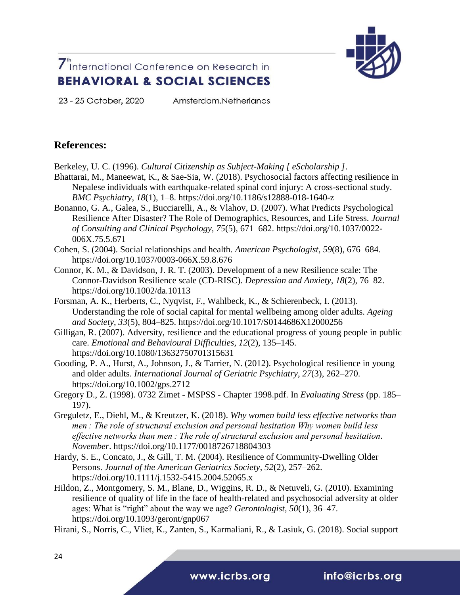

23 - 25 October, 2020

Amsterdam, Netherlands

### **References:**

Berkeley, U. C. (1996). *Cultural Citizenship as Subject-Making [ eScholarship ]*.

- Bhattarai, M., Maneewat, K., & Sae-Sia, W. (2018). Psychosocial factors affecting resilience in Nepalese individuals with earthquake-related spinal cord injury: A cross-sectional study. *BMC Psychiatry*, *18*(1), 1–8. https://doi.org/10.1186/s12888-018-1640-z
- Bonanno, G. A., Galea, S., Bucciarelli, A., & Vlahov, D. (2007). What Predicts Psychological Resilience After Disaster? The Role of Demographics, Resources, and Life Stress. *Journal of Consulting and Clinical Psychology*, *75*(5), 671–682. https://doi.org/10.1037/0022- 006X.75.5.671

Cohen, S. (2004). Social relationships and health. *American Psychologist*, *59*(8), 676–684. https://doi.org/10.1037/0003-066X.59.8.676

- Connor, K. M., & Davidson, J. R. T. (2003). Development of a new Resilience scale: The Connor-Davidson Resilience scale (CD-RISC). *Depression and Anxiety*, *18*(2), 76–82. https://doi.org/10.1002/da.10113
- Forsman, A. K., Herberts, C., Nyqvist, F., Wahlbeck, K., & Schierenbeck, I. (2013). Understanding the role of social capital for mental wellbeing among older adults. *Ageing and Society*, *33*(5), 804–825. https://doi.org/10.1017/S0144686X12000256
- Gilligan, R. (2007). Adversity, resilience and the educational progress of young people in public care. *Emotional and Behavioural Difficulties*, *12*(2), 135–145. https://doi.org/10.1080/13632750701315631
- Gooding, P. A., Hurst, A., Johnson, J., & Tarrier, N. (2012). Psychological resilience in young and older adults. *International Journal of Geriatric Psychiatry*, *27*(3), 262–270. https://doi.org/10.1002/gps.2712
- Gregory D., Z. (1998). 0732 Zimet MSPSS Chapter 1998.pdf. In *Evaluating Stress* (pp. 185– 197).
- Greguletz, E., Diehl, M., & Kreutzer, K. (2018). *Why women build less effective networks than men : The role of structural exclusion and personal hesitation Why women build less effective networks than men : The role of structural exclusion and personal hesitation*. *November*. https://doi.org/10.1177/0018726718804303
- Hardy, S. E., Concato, J., & Gill, T. M. (2004). Resilience of Community-Dwelling Older Persons. *Journal of the American Geriatrics Society*, *52*(2), 257–262. https://doi.org/10.1111/j.1532-5415.2004.52065.x
- Hildon, Z., Montgomery, S. M., Blane, D., Wiggins, R. D., & Netuveli, G. (2010). Examining resilience of quality of life in the face of health-related and psychosocial adversity at older ages: What is "right" about the way we age? *Gerontologist*, *50*(1), 36–47. https://doi.org/10.1093/geront/gnp067

Hirani, S., Norris, C., Vliet, K., Zanten, S., Karmaliani, R., & Lasiuk, G. (2018). Social support

www.icrbs.org

info@icrbs.org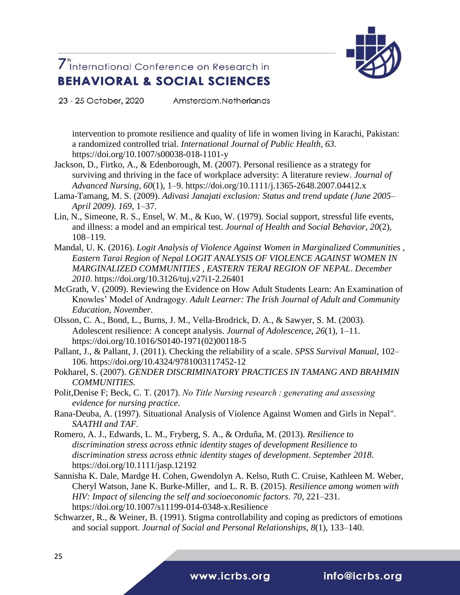

23 - 25 October, 2020 Amsterdam, Netherlands

intervention to promote resilience and quality of life in women living in Karachi, Pakistan: a randomized controlled trial. *International Journal of Public Health*, *63*. https://doi.org/10.1007/s00038-018-1101-y

- Jackson, D., Firtko, A., & Edenborough, M. (2007). Personal resilience as a strategy for surviving and thriving in the face of workplace adversity: A literature review. *Journal of Advanced Nursing*, *60*(1), 1–9. https://doi.org/10.1111/j.1365-2648.2007.04412.x
- Lama-Tamang, M. S. (2009). *Adivasi Janajati exclusion: Status and trend update (June 2005– April 2009)*. *169*, 1–37.
- Lin, N., Simeone, R. S., Ensel, W. M., & Kuo, W. (1979). Social support, stressful life events, and illness: a model and an empirical test. *Journal of Health and Social Behavior*, *20*(2), 108–119.
- Mandal, U. K. (2016). *Logit Analysis of Violence Against Women in Marginalized Communities ,*  **Eastern Tarai Region of Nepal LOGIT ANALYSIS OF VIOLENCE AGAINST WOMEN IN** *MARGINALIZED COMMUNITIES , EASTERN TERAI REGION OF NEPAL*. *December 2010*. https://doi.org/10.3126/tuj.v27i1-2.26401
- McGrath, V. (2009). Reviewing the Evidence on How Adult Students Learn: An Examination of Knowles' Model of Andragogy. *Adult Learner: The Irish Journal of Adult and Community Education*, *November*.
- Olsson, C. A., Bond, L., Burns, J. M., Vella-Brodrick, D. A., & Sawyer, S. M. (2003). Adolescent resilience: A concept analysis. *Journal of Adolescence*, *26*(1), 1–11. https://doi.org/10.1016/S0140-1971(02)00118-5
- Pallant, J., & Pallant, J. (2011). Checking the reliability of a scale. *SPSS Survival Manual*, 102– 106. https://doi.org/10.4324/9781003117452-12
- Pokharel, S. (2007). *GENDER DISCRIMINATORY PRACTICES IN TAMANG AND BRAHMIN COMMUNITIES*.
- Polit,Denise F; Beck, C. T. (2017). *No Title Nursing research : generating and assessing evidence for nursing practice*.
- Rana-Deuba, A. (1997). Situational Analysis of Violence Against Women and Girls in Nepal". *SAATHI and TAF*.
- Romero, A. J., Edwards, L. M., Fryberg, S. A., & Orduña, M. (2013). *Resilience to discrimination stress across ethnic identity stages of development Resilience to discrimination stress across ethnic identity stages of development*. *September 2018*. https://doi.org/10.1111/jasp.12192
- Sannisha K. Dale, Mardge H. Cohen, Gwendolyn A. Kelso, Ruth C. Cruise, Kathleen M. Weber, Cheryl Watson, Jane K. Burke-Miller, and L. R. B. (2015). *Resilience among women with HIV: Impact of silencing the self and socioeconomic factors*. *70*, 221–231. https://doi.org/10.1007/s11199-014-0348-x.Resilience
- Schwarzer, R., & Weiner, B. (1991). Stigma controllability and coping as predictors of emotions and social support. *Journal of Social and Personal Relationships*, *8*(1), 133–140.